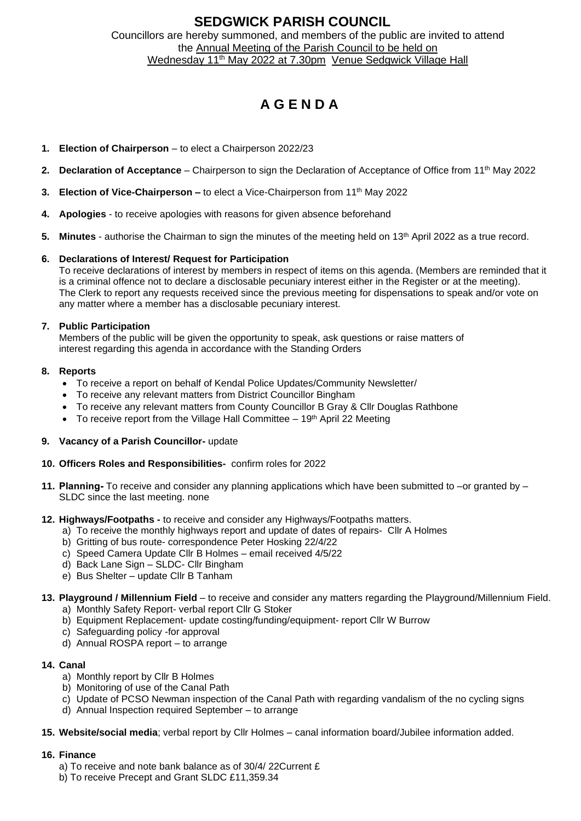## **SEDGWICK PARISH COUNCIL** Councillors are hereby summoned, and members of the public are invited to attend the Annual Meeting of the Parish Council to be held on Wednesday 11<sup>th</sup> May 2022 at 7.30pm Venue Sedgwick Village Hall

# **A G E N D A**

- **1. Election of Chairperson** to elect a Chairperson 2022/23
- **2. Declaration of Acceptance**  Chairperson to sign the Declaration of Acceptance of Office from 11 th May 2022
- **3. Election of Vice-Chairperson –** to elect a Vice-Chairperson from 11<sup>th</sup> May 2022
- **4. Apologies** to receive apologies with reasons for given absence beforehand
- **5. Minutes** authorise the Chairman to sign the minutes of the meeting held on 13 th April 2022 as a true record.

## **6. Declarations of Interest/ Request for Participation**

To receive declarations of interest by members in respect of items on this agenda. (Members are reminded that it is a criminal offence not to declare a disclosable pecuniary interest either in the Register or at the meeting). The Clerk to report any requests received since the previous meeting for dispensations to speak and/or vote on any matter where a member has a disclosable pecuniary interest.

## **7. Public Participation**

Members of the public will be given the opportunity to speak, ask questions or raise matters of interest regarding this agenda in accordance with the Standing Orders

#### **8. Reports**

- To receive a report on behalf of Kendal Police Updates/Community Newsletter/
- To receive any relevant matters from District Councillor Bingham
- To receive any relevant matters from County Councillor B Gray & Cllr Douglas Rathbone
- To receive report from the Village Hall Committee  $-19<sup>th</sup>$  April 22 Meeting

## **9. Vacancy of a Parish Councillor-** update

## **10. Officers Roles and Responsibilities-** confirm roles for 2022

**11. Planning-** To receive and consider any planning applications which have been submitted to –or granted by – SLDC since the last meeting. none

#### **12. Highways/Footpaths -** to receive and consider any Highways/Footpaths matters.

- a) To receive the monthly highways report and update of dates of repairs- Cllr A Holmes
- b) Gritting of bus route- correspondence Peter Hosking 22/4/22
- c) Speed Camera Update Cllr B Holmes email received 4/5/22
- d) Back Lane Sign SLDC- Cllr Bingham
- e) Bus Shelter update Cllr B Tanham
- **13. Playground / Millennium Field** to receive and consider any matters regarding the Playground/Millennium Field. a) Monthly Safety Report- verbal report Cllr G Stoker
	- b) Equipment Replacement- update costing/funding/equipment- report Cllr W Burrow
	- c) Safeguarding policy -for approval
	- d) Annual ROSPA report to arrange

## **14. Canal**

- a) Monthly report by Cllr B Holmes
- b) Monitoring of use of the Canal Path
- c) Update of PCSO Newman inspection of the Canal Path with regarding vandalism of the no cycling signs
- d) Annual Inspection required September to arrange
- **15. Website/social media**; verbal report by Cllr Holmes canal information board/Jubilee information added.

#### **16. Finance**

- a) To receive and note bank balance as of 30/4/ 22Current £
- b) To receive Precept and Grant SLDC £11,359.34